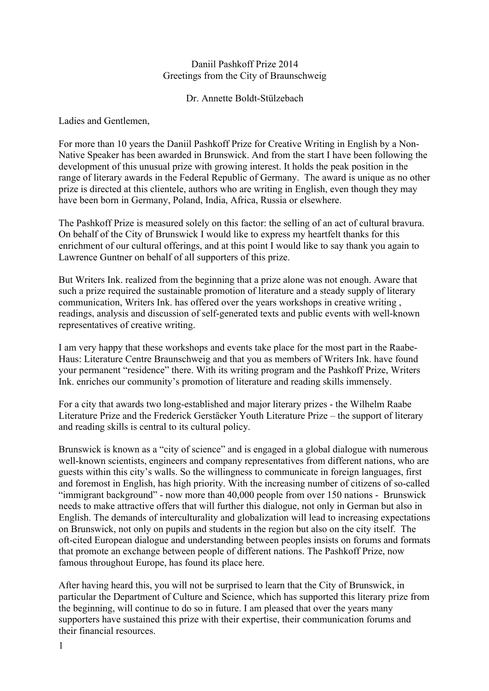## Daniil Pashkoff Prize 2014 Greetings from the City of Braunschweig

Dr. Annette Boldt-Stülzebach

Ladies and Gentlemen,

For more than 10 years the Daniil Pashkoff Prize for Creative Writing in English by a Non-Native Speaker has been awarded in Brunswick. And from the start I have been following the development of this unusual prize with growing interest. It holds the peak position in the range of literary awards in the Federal Republic of Germany. The award is unique as no other prize is directed at this clientele, authors who are writing in English, even though they may have been born in Germany, Poland, India, Africa, Russia or elsewhere.

The Pashkoff Prize is measured solely on this factor: the selling of an act of cultural bravura. On behalf of the City of Brunswick I would like to express my heartfelt thanks for this enrichment of our cultural offerings, and at this point I would like to say thank you again to Lawrence Guntner on behalf of all supporters of this prize.

But Writers Ink. realized from the beginning that a prize alone was not enough. Aware that such a prize required the sustainable promotion of literature and a steady supply of literary communication, Writers Ink. has offered over the years workshops in creative writing , readings, analysis and discussion of self-generated texts and public events with well-known representatives of creative writing.

I am very happy that these workshops and events take place for the most part in the Raabe-Haus: Literature Centre Braunschweig and that you as members of Writers Ink. have found your permanent "residence" there. With its writing program and the Pashkoff Prize, Writers Ink. enriches our community's promotion of literature and reading skills immensely.

For a city that awards two long-established and major literary prizes - the Wilhelm Raabe Literature Prize and the Frederick Gerstäcker Youth Literature Prize – the support of literary and reading skills is central to its cultural policy.

Brunswick is known as a "city of science" and is engaged in a global dialogue with numerous well-known scientists, engineers and company representatives from different nations, who are guests within this city's walls. So the willingness to communicate in foreign languages, first and foremost in English, has high priority. With the increasing number of citizens of so-called "immigrant background" - now more than 40,000 people from over 150 nations - Brunswick needs to make attractive offers that will further this dialogue, not only in German but also in English. The demands of interculturality and globalization will lead to increasing expectations on Brunswick, not only on pupils and students in the region but also on the city itself. The oft-cited European dialogue and understanding between peoples insists on forums and formats that promote an exchange between people of different nations. The Pashkoff Prize, now famous throughout Europe, has found its place here.

After having heard this, you will not be surprised to learn that the City of Brunswick, in particular the Department of Culture and Science, which has supported this literary prize from the beginning, will continue to do so in future. I am pleased that over the years many supporters have sustained this prize with their expertise, their communication forums and their financial resources.